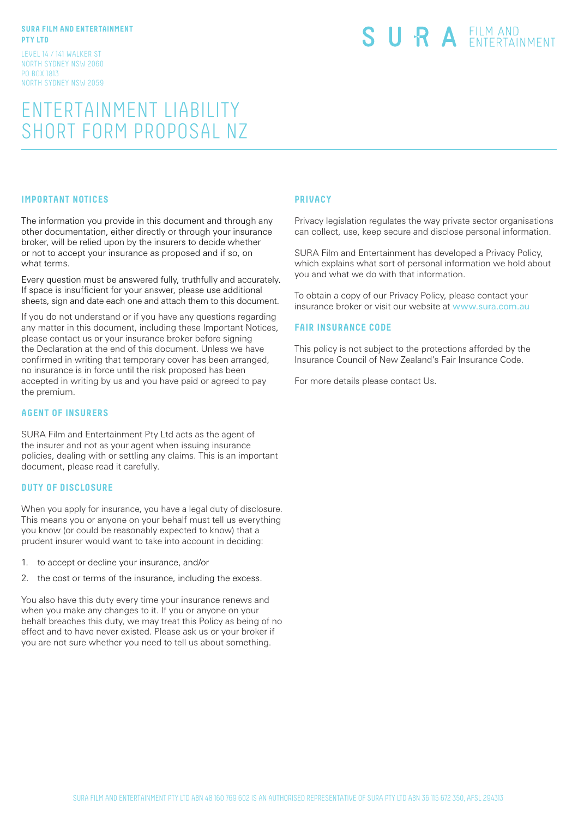#### **SURA FILM AND ENTERTAINMENT PTY LTD**

LEVEL 14 / 141 WALKER ST NORTH SYDNEY NSW 2060 PO BOX 1813 NORTH SYDNEY NSW 2059

# SURA EILM AND

# ENTERTAINMENT LIABILITY SHORT FORM PROPOSAL NZ

# **IMPORTANT NOTICES**

The information you provide in this document and through any other documentation, either directly or through your insurance broker, will be relied upon by the insurers to decide whether or not to accept your insurance as proposed and if so, on what terms.

Every question must be answered fully, truthfully and accurately. If space is insufficient for your answer, please use additional sheets, sign and date each one and attach them to this document.

If you do not understand or if you have any questions regarding any matter in this document, including these Important Notices, please contact us or your insurance broker before signing the Declaration at the end of this document. Unless we have confirmed in writing that temporary cover has been arranged, no insurance is in force until the risk proposed has been accepted in writing by us and you have paid or agreed to pay the premium.

#### **AGENT OF INSURERS**

SURA Film and Entertainment Pty Ltd acts as the agent of the insurer and not as your agent when issuing insurance policies, dealing with or settling any claims. This is an important document, please read it carefully.

### **DUTY OF DISCLOSURE**

When you apply for insurance, you have a legal duty of disclosure. This means you or anyone on your behalf must tell us everything you know (or could be reasonably expected to know) that a prudent insurer would want to take into account in deciding:

- 1. to accept or decline your insurance, and/or
- 2. the cost or terms of the insurance, including the excess.

You also have this duty every time your insurance renews and when you make any changes to it. If you or anyone on your behalf breaches this duty, we may treat this Policy as being of no effect and to have never existed. Please ask us or your broker if you are not sure whether you need to tell us about something.

#### **PRIVACY**

Privacy legislation regulates the way private sector organisations can collect, use, keep secure and disclose personal information.

SURA Film and Entertainment has developed a Privacy Policy, which explains what sort of personal information we hold about you and what we do with that information.

To obtain a copy of our Privacy Policy, please contact your insurance broker or visit our website at www.sura.com.au

#### **FAIR INSURANCE CODE**

This policy is not subject to the protections afforded by the Insurance Council of New Zealand's Fair Insurance Code.

For more details please contact Us.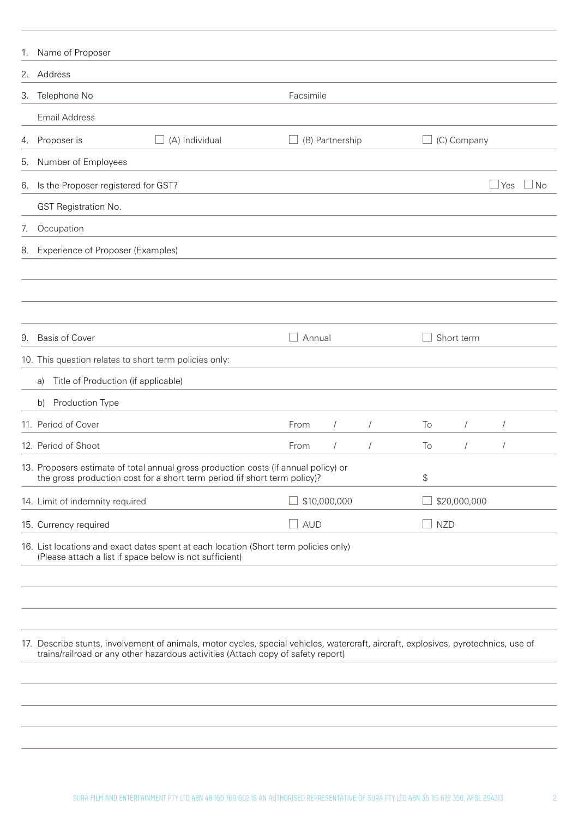|    | 1. Name of Proposer                                                                                                                                                                                                     |               |                 |            |            |              |            |           |
|----|-------------------------------------------------------------------------------------------------------------------------------------------------------------------------------------------------------------------------|---------------|-----------------|------------|------------|--------------|------------|-----------|
|    | 2. Address                                                                                                                                                                                                              |               |                 |            |            |              |            |           |
|    | 3. Telephone No                                                                                                                                                                                                         | Facsimile     |                 |            |            |              |            |           |
|    | <b>Email Address</b>                                                                                                                                                                                                    |               |                 |            |            |              |            |           |
| 4. | (A) Individual<br>Proposer is                                                                                                                                                                                           |               | (B) Partnership |            |            | (C) Company  |            |           |
| 5. | Number of Employees                                                                                                                                                                                                     |               |                 |            |            |              |            |           |
| 6. | Is the Proposer registered for GST?                                                                                                                                                                                     |               |                 |            |            |              | l Yes      | <b>No</b> |
|    | GST Registration No.                                                                                                                                                                                                    |               |                 |            |            |              |            |           |
| 7. | Occupation                                                                                                                                                                                                              |               |                 |            |            |              |            |           |
|    | 8. Experience of Proposer (Examples)                                                                                                                                                                                    |               |                 |            |            |              |            |           |
|    |                                                                                                                                                                                                                         |               |                 |            |            |              |            |           |
|    |                                                                                                                                                                                                                         |               |                 |            |            |              |            |           |
|    |                                                                                                                                                                                                                         |               |                 |            |            |              |            |           |
| 9. | <b>Basis of Cover</b>                                                                                                                                                                                                   | Annual        |                 |            |            | Short term   |            |           |
|    | 10. This question relates to short term policies only:                                                                                                                                                                  |               |                 |            |            |              |            |           |
|    | Title of Production (if applicable)<br>a)                                                                                                                                                                               |               |                 |            |            |              |            |           |
|    | Production Type<br>b)                                                                                                                                                                                                   |               |                 |            |            |              |            |           |
|    | 11. Period of Cover                                                                                                                                                                                                     | From          | $\sqrt{2}$      | $\sqrt{2}$ | To         | $\sqrt{2}$   | $\sqrt{2}$ |           |
|    | 12. Period of Shoot                                                                                                                                                                                                     | From          | $\sqrt{2}$      | $\sqrt{2}$ | To         | $\sqrt{2}$   | $\sqrt{2}$ |           |
|    | 13. Proposers estimate of total annual gross production costs (if annual policy) or<br>the gross production cost for a short term period (if short term policy)?                                                        |               |                 |            | \$         |              |            |           |
|    | 14. Limit of indemnity required                                                                                                                                                                                         |               | \$10,000,000    |            |            | \$20,000,000 |            |           |
|    | 15. Currency required                                                                                                                                                                                                   | $\square$ AUD |                 |            | <b>NZD</b> |              |            |           |
|    | 16. List locations and exact dates spent at each location (Short term policies only)<br>(Please attach a list if space below is not sufficient)                                                                         |               |                 |            |            |              |            |           |
|    | 17. Describe stunts, involvement of animals, motor cycles, special vehicles, watercraft, aircraft, explosives, pyrotechnics, use of<br>trains/railroad or any other hazardous activities (Attach copy of safety report) |               |                 |            |            |              |            |           |
|    |                                                                                                                                                                                                                         |               |                 |            |            |              |            |           |
|    |                                                                                                                                                                                                                         |               |                 |            |            |              |            |           |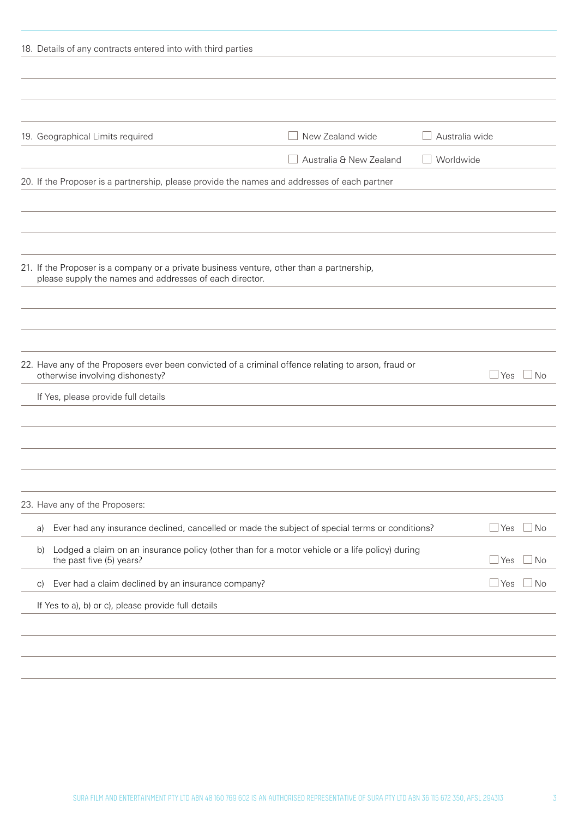| 18. Details of any contracts entered into with third parties                                                                                         |                         |                         |
|------------------------------------------------------------------------------------------------------------------------------------------------------|-------------------------|-------------------------|
|                                                                                                                                                      |                         |                         |
|                                                                                                                                                      |                         |                         |
|                                                                                                                                                      |                         |                         |
| 19. Geographical Limits required                                                                                                                     | New Zealand wide        | Australia wide          |
|                                                                                                                                                      | Australia & New Zealand | Worldwide               |
| 20. If the Proposer is a partnership, please provide the names and addresses of each partner                                                         |                         |                         |
|                                                                                                                                                      |                         |                         |
|                                                                                                                                                      |                         |                         |
|                                                                                                                                                      |                         |                         |
| 21. If the Proposer is a company or a private business venture, other than a partnership,<br>please supply the names and addresses of each director. |                         |                         |
|                                                                                                                                                      |                         |                         |
|                                                                                                                                                      |                         |                         |
|                                                                                                                                                      |                         |                         |
| 22. Have any of the Proposers ever been convicted of a criminal offence relating to arson, fraud or<br>otherwise involving dishonesty?               |                         | $\Box$ Yes<br>$\Box$ No |
| If Yes, please provide full details                                                                                                                  |                         |                         |
|                                                                                                                                                      |                         |                         |
|                                                                                                                                                      |                         |                         |
|                                                                                                                                                      |                         |                         |
|                                                                                                                                                      |                         |                         |
| 23. Have any of the Proposers:                                                                                                                       |                         |                         |
| Ever had any insurance declined, cancelled or made the subject of special terms or conditions?<br>a)                                                 |                         | Yes<br>l No             |
| Lodged a claim on an insurance policy (other than for a motor vehicle or a life policy) during<br>b)<br>the past five (5) years?                     |                         | l No<br>  Yes           |
| Ever had a claim declined by an insurance company?<br>$\vert$ C)                                                                                     |                         | Yes<br>l No             |
| If Yes to a), b) or c), please provide full details                                                                                                  |                         |                         |
|                                                                                                                                                      |                         |                         |
|                                                                                                                                                      |                         |                         |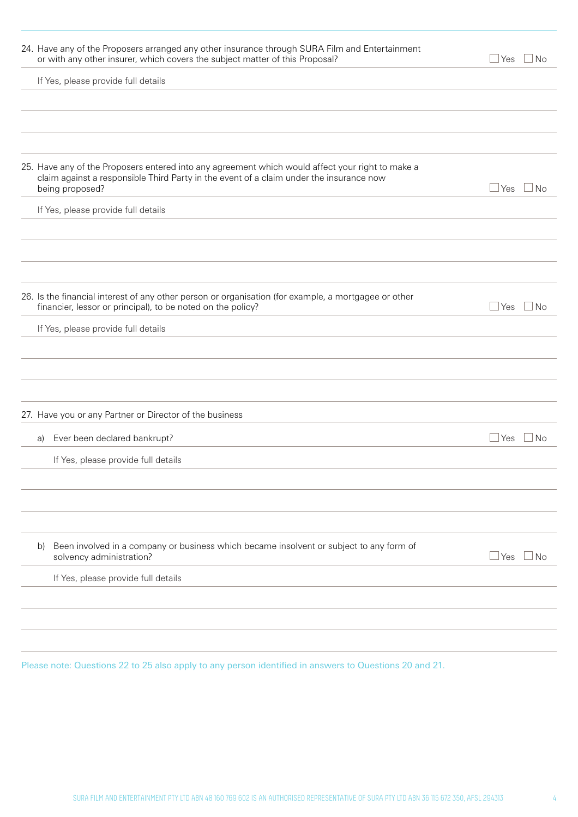| 24. Have any of the Proposers arranged any other insurance through SURA Film and Entertainment<br>or with any other insurer, which covers the subject matter of this Proposal?                                 | ⊥Yes         | $\Box$ No            |
|----------------------------------------------------------------------------------------------------------------------------------------------------------------------------------------------------------------|--------------|----------------------|
| If Yes, please provide full details                                                                                                                                                                            |              |                      |
|                                                                                                                                                                                                                |              |                      |
|                                                                                                                                                                                                                |              |                      |
|                                                                                                                                                                                                                |              |                      |
| 25. Have any of the Proposers entered into any agreement which would affect your right to make a<br>claim against a responsible Third Party in the event of a claim under the insurance now<br>being proposed? | $\Box$ Yes   | $\Box$ No            |
| If Yes, please provide full details                                                                                                                                                                            |              |                      |
|                                                                                                                                                                                                                |              |                      |
|                                                                                                                                                                                                                |              |                      |
|                                                                                                                                                                                                                |              |                      |
| 26. Is the financial interest of any other person or organisation (for example, a mortgagee or other<br>financier, lessor or principal), to be noted on the policy?                                            | ⊿ Yes        | $\Box$ No            |
| If Yes, please provide full details                                                                                                                                                                            |              |                      |
|                                                                                                                                                                                                                |              |                      |
|                                                                                                                                                                                                                |              |                      |
|                                                                                                                                                                                                                |              |                      |
| 27. Have you or any Partner or Director of the business                                                                                                                                                        |              |                      |
| Ever been declared bankrupt?<br>a)                                                                                                                                                                             |              | $\Box$ Yes $\Box$ No |
| If Yes, please provide full details                                                                                                                                                                            |              |                      |
|                                                                                                                                                                                                                |              |                      |
|                                                                                                                                                                                                                |              |                      |
|                                                                                                                                                                                                                |              |                      |
| Been involved in a company or business which became insolvent or subject to any form of<br>b)<br>solvency administration?                                                                                      | $\sqcup$ Yes | ⊥No                  |
| If Yes, please provide full details                                                                                                                                                                            |              |                      |
|                                                                                                                                                                                                                |              |                      |
|                                                                                                                                                                                                                |              |                      |
|                                                                                                                                                                                                                |              |                      |

Please note: Questions 22 to 25 also apply to any person identified in answers to Questions 20 and 21.